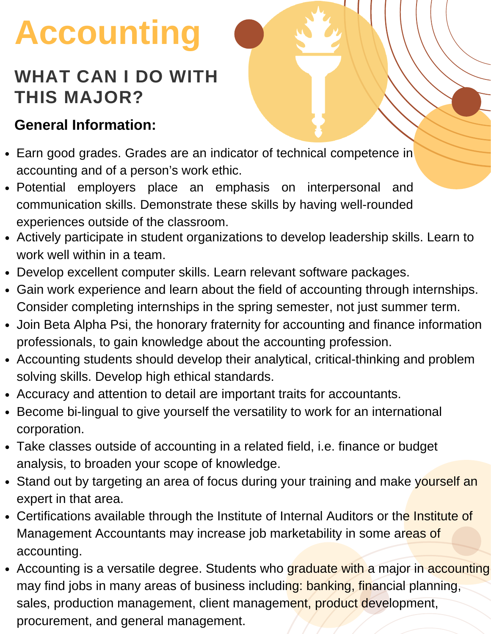# **Accounting**

#### **WHAT CAN I DO WITH THIS MAJOR?**

#### **General Information:**

- Earn good grades. Grades are an indicator of technical competence in accounting and of a person's work ethic.
- Potential employers place an emphasis on interpersonal and communication skills. Demonstrate these skills by having well-rounded experiences outside of the classroom.
- Actively participate in student organizations to develop leadership skills. Learn to work well within in a team.
- Develop excellent computer skills. Learn relevant software packages.
- Gain work experience and learn about the field of accounting through internships. Consider completing internships in the spring semester, not just summer term.
- Join Beta Alpha Psi, the honorary fraternity for accounting and finance information professionals, to gain knowledge about the accounting profession.
- Accounting students should develop their analytical, critical-thinking and problem solving skills. Develop high ethical standards.
- Accuracy and attention to detail are important traits for accountants.
- Become bi-lingual to give yourself the versatility to work for an international corporation.
- Take classes outside of accounting in a related field, i.e. finance or budget analysis, to broaden your scope of knowledge.
- Stand out by targeting an area of focus during your training and make yourself an expert in that area.
- Certifications available through the Institute of Internal Auditors or the Institute of Management Accountants may increase job marketability in some areas of accounting.
- Accounting is a versatile degree. Students who graduate with a major in accounting may find jobs in many areas of business including: banking, financial planning, sales, production management, client management, product development, procurement, and general management.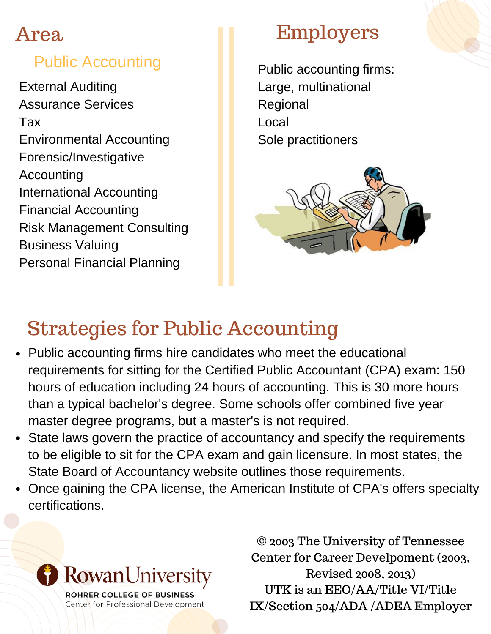#### Area

#### Public Accounting

External Auditing Assurance Services Tax Environmental Accounting Forensic/Investigative Accounting International Accounting Financial Accounting Risk Management Consulting Business Valuing Personal Financial Planning

#### Employers

Public accounting firms: Large, multinational Regional Local Sole practitioners



# Strategies for Public Accounting

- Public accounting firms hire candidates who meet the educational requirements for sitting for the Certified Public Accountant (CPA) exam: 150 hours of education including 24 hours of accounting. This is 30 more hours than a typical bachelor's degree. Some schools offer combined five year master degree programs, but a master's is not required.
- State laws govern the practice of accountancy and specify the requirements to be eligible to sit for the CPA exam and gain licensure. In most states, the State Board of Accountancy website outlines those requirements.
- Once gaining the CPA license, the American Institute of CPA's offers specialty certifications.



ROHRER COLLEGE OF BUSINESS Center for Professional Development

© 2003 The University of Tennessee Center for Career Develpoment (2003, Revised 2008, 2013) UTK is an EEO/AA/Title VI/Title IX/Section 504/ADA /ADEA Employer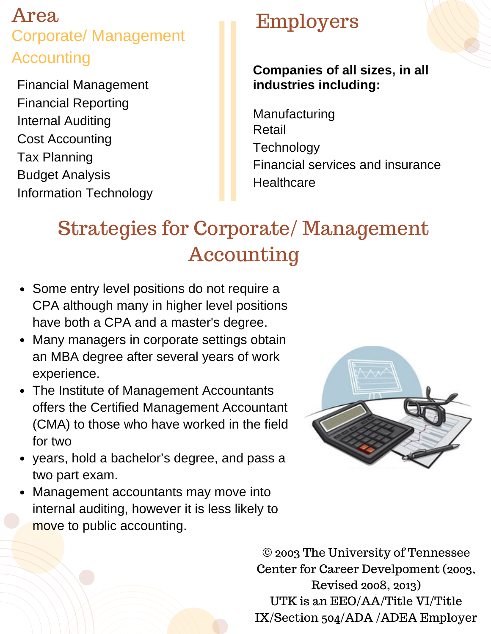#### Area Corporate/ Management **Accounting**

Financial Management Financial Reporting Internal Auditing Cost Accounting Tax Planning Budget Analysis Information Technology

### Employers

#### **Companies of all sizes, in all industries including:**

Manufacturing Retail **Technology** Financial services and insurance **Healthcare** 

## Strategies for Corporate/ Management Accounting

- Some entry level positions do not require a CPA although many in higher level positions have both a CPA and a master's degree.
- Many managers in corporate settings obtain an MBA degree after several years of work experience.
- The Institute of Management Accountants offers the Certified Management Accountant (CMA) to those who have worked in the field for two
- years, hold a bachelor's degree, and pass a two part exam.
- Management accountants may move into internal auditing, however it is less likely to move to public accounting.



© 2003 The University of Tennessee Center for Career Develpoment (2003, Revised 2008, 2013) UTK is an EEO/AA/Title VI/Title IX/Section 504/ADA /ADEA Employer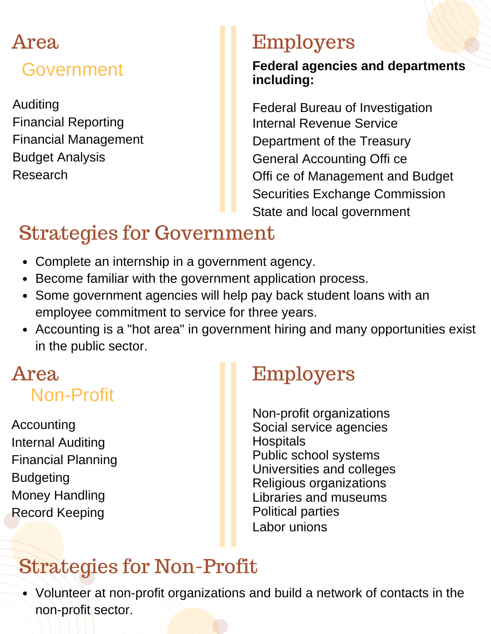# Area Government

Auditing Financial Reporting Financial Management Budget Analysis Research

#### Employers

#### **Federal agencies and departments including:**

Federal Bureau of Investigation Internal Revenue Service Department of the Treasury General Accounting Offi ce Offi ce of Management and Budget Securities Exchange Commission State and local government

# Strategies for Government

- Complete an internship in a government agency.
- Become familiar with the government application process.
- Some government agencies will help pay back student loans with an employee commitment to service for three years.
- Accounting is a "hot area" in government hiring and many opportunities exist in the public sector.

# Non-Profit

Accounting Internal Auditing Financial Planning Budgeting Money Handling Record Keeping

### Area Employers

Non-profit organizations Social service agencies **Hospitals** Public school systems Universities and colleges Religious organizations Libraries and museums Political parties Labor unions

# Strategies for Non-Profit

Volunteer at non-profit organizations and build a network of contacts in the non-profit sector.